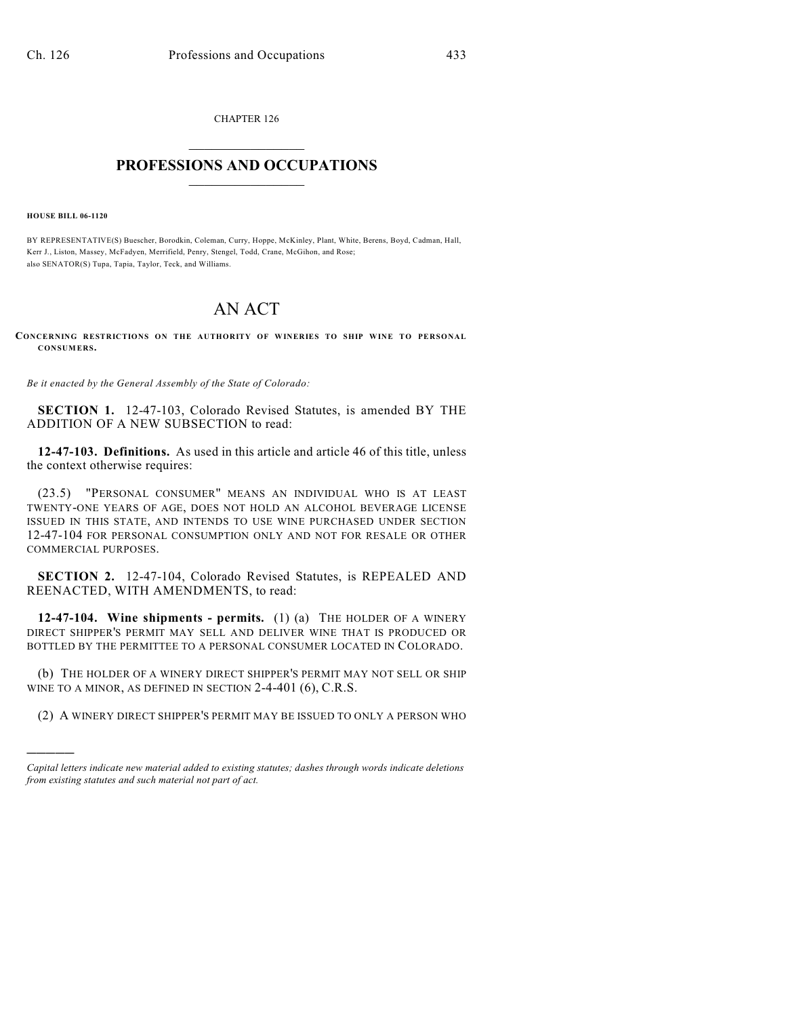CHAPTER 126  $\overline{\phantom{a}}$  . The set of the set of the set of the set of the set of the set of the set of the set of the set of the set of the set of the set of the set of the set of the set of the set of the set of the set of the set o

## **PROFESSIONS AND OCCUPATIONS**  $\frac{1}{2}$  ,  $\frac{1}{2}$  ,  $\frac{1}{2}$  ,  $\frac{1}{2}$  ,  $\frac{1}{2}$  ,  $\frac{1}{2}$

**HOUSE BILL 06-1120**

)))))

BY REPRESENTATIVE(S) Buescher, Borodkin, Coleman, Curry, Hoppe, McKinley, Plant, White, Berens, Boyd, Cadman, Hall, Kerr J., Liston, Massey, McFadyen, Merrifield, Penry, Stengel, Todd, Crane, McGihon, and Rose; also SENATOR(S) Tupa, Tapia, Taylor, Teck, and Williams.

## AN ACT

**CONCERNING RESTRICTIONS ON THE AUTHORITY OF WINERIES TO SHIP WINE TO PERSONAL CONSUMERS.**

*Be it enacted by the General Assembly of the State of Colorado:*

**SECTION 1.** 12-47-103, Colorado Revised Statutes, is amended BY THE ADDITION OF A NEW SUBSECTION to read:

**12-47-103. Definitions.** As used in this article and article 46 of this title, unless the context otherwise requires:

(23.5) "PERSONAL CONSUMER" MEANS AN INDIVIDUAL WHO IS AT LEAST TWENTY-ONE YEARS OF AGE, DOES NOT HOLD AN ALCOHOL BEVERAGE LICENSE ISSUED IN THIS STATE, AND INTENDS TO USE WINE PURCHASED UNDER SECTION 12-47-104 FOR PERSONAL CONSUMPTION ONLY AND NOT FOR RESALE OR OTHER COMMERCIAL PURPOSES.

**SECTION 2.** 12-47-104, Colorado Revised Statutes, is REPEALED AND REENACTED, WITH AMENDMENTS, to read:

**12-47-104. Wine shipments - permits.** (1) (a) THE HOLDER OF A WINERY DIRECT SHIPPER'S PERMIT MAY SELL AND DELIVER WINE THAT IS PRODUCED OR BOTTLED BY THE PERMITTEE TO A PERSONAL CONSUMER LOCATED IN COLORADO.

(b) THE HOLDER OF A WINERY DIRECT SHIPPER'S PERMIT MAY NOT SELL OR SHIP WINE TO A MINOR, AS DEFINED IN SECTION 2-4-401 (6), C.R.S.

(2) A WINERY DIRECT SHIPPER'S PERMIT MAY BE ISSUED TO ONLY A PERSON WHO

*Capital letters indicate new material added to existing statutes; dashes through words indicate deletions from existing statutes and such material not part of act.*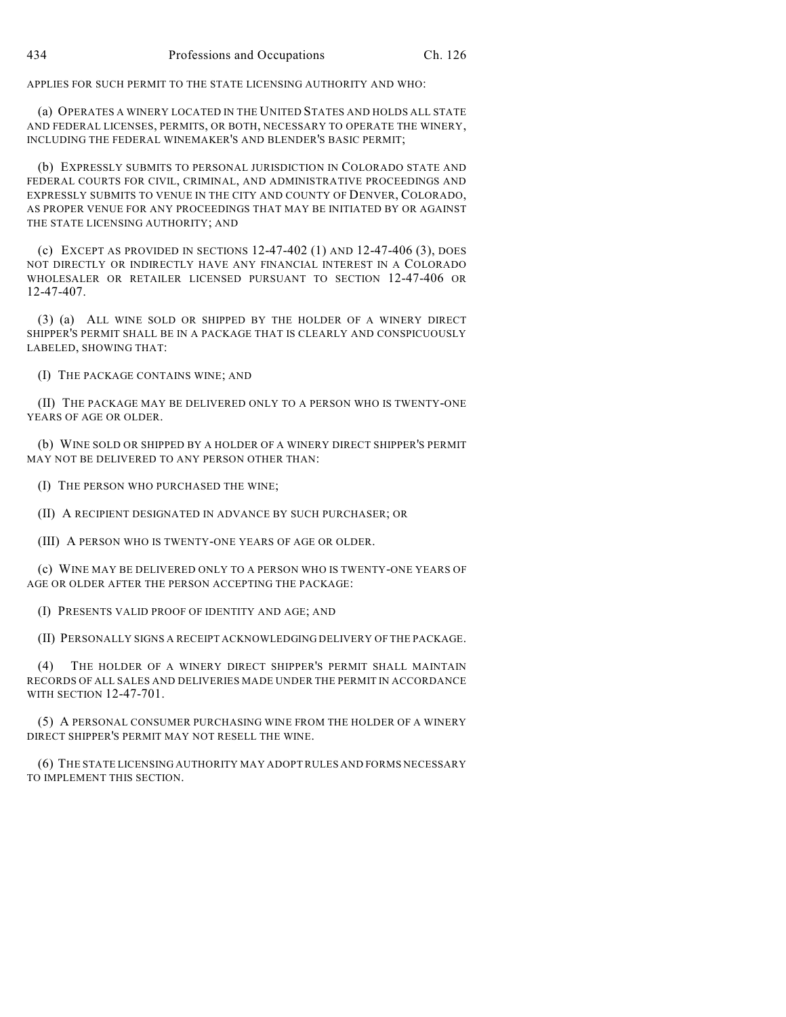APPLIES FOR SUCH PERMIT TO THE STATE LICENSING AUTHORITY AND WHO:

(a) OPERATES A WINERY LOCATED IN THE UNITED STATES AND HOLDS ALL STATE AND FEDERAL LICENSES, PERMITS, OR BOTH, NECESSARY TO OPERATE THE WINERY, INCLUDING THE FEDERAL WINEMAKER'S AND BLENDER'S BASIC PERMIT;

(b) EXPRESSLY SUBMITS TO PERSONAL JURISDICTION IN COLORADO STATE AND FEDERAL COURTS FOR CIVIL, CRIMINAL, AND ADMINISTRATIVE PROCEEDINGS AND EXPRESSLY SUBMITS TO VENUE IN THE CITY AND COUNTY OF DENVER, COLORADO, AS PROPER VENUE FOR ANY PROCEEDINGS THAT MAY BE INITIATED BY OR AGAINST THE STATE LICENSING AUTHORITY; AND

(c) EXCEPT AS PROVIDED IN SECTIONS  $12-47-402$  (1) AND  $12-47-406$  (3), DOES NOT DIRECTLY OR INDIRECTLY HAVE ANY FINANCIAL INTEREST IN A COLORADO WHOLESALER OR RETAILER LICENSED PURSUANT TO SECTION 12-47-406 OR 12-47-407.

(3) (a) ALL WINE SOLD OR SHIPPED BY THE HOLDER OF A WINERY DIRECT SHIPPER'S PERMIT SHALL BE IN A PACKAGE THAT IS CLEARLY AND CONSPICUOUSLY LABELED, SHOWING THAT:

(I) THE PACKAGE CONTAINS WINE; AND

(II) THE PACKAGE MAY BE DELIVERED ONLY TO A PERSON WHO IS TWENTY-ONE YEARS OF AGE OR OLDER.

(b) WINE SOLD OR SHIPPED BY A HOLDER OF A WINERY DIRECT SHIPPER'S PERMIT MAY NOT BE DELIVERED TO ANY PERSON OTHER THAN:

(I) THE PERSON WHO PURCHASED THE WINE;

(II) A RECIPIENT DESIGNATED IN ADVANCE BY SUCH PURCHASER; OR

(III) A PERSON WHO IS TWENTY-ONE YEARS OF AGE OR OLDER.

(c) WINE MAY BE DELIVERED ONLY TO A PERSON WHO IS TWENTY-ONE YEARS OF AGE OR OLDER AFTER THE PERSON ACCEPTING THE PACKAGE:

(I) PRESENTS VALID PROOF OF IDENTITY AND AGE; AND

(II) PERSONALLY SIGNS A RECEIPT ACKNOWLEDGING DELIVERY OF THE PACKAGE.

(4) THE HOLDER OF A WINERY DIRECT SHIPPER'S PERMIT SHALL MAINTAIN RECORDS OF ALL SALES AND DELIVERIES MADE UNDER THE PERMIT IN ACCORDANCE WITH SECTION 12-47-701.

(5) A PERSONAL CONSUMER PURCHASING WINE FROM THE HOLDER OF A WINERY DIRECT SHIPPER'S PERMIT MAY NOT RESELL THE WINE.

(6) THE STATE LICENSING AUTHORITY MAY ADOPT RULES AND FORMS NECESSARY TO IMPLEMENT THIS SECTION.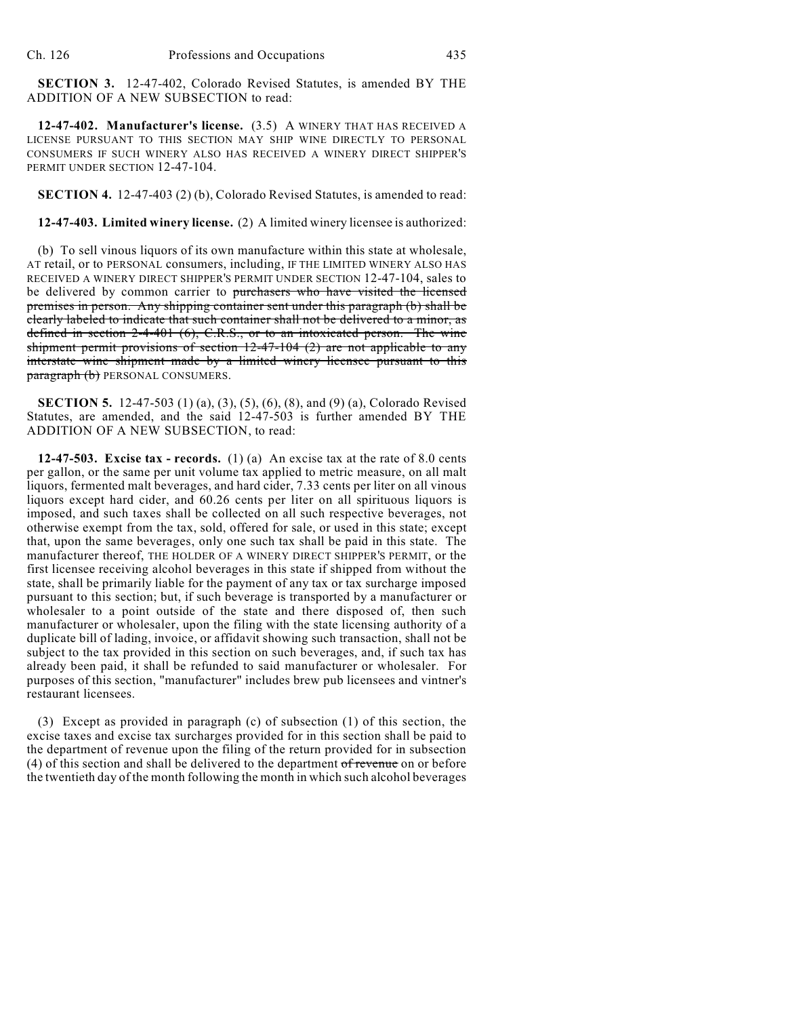**SECTION 3.** 12-47-402, Colorado Revised Statutes, is amended BY THE ADDITION OF A NEW SUBSECTION to read:

**12-47-402. Manufacturer's license.** (3.5) A WINERY THAT HAS RECEIVED A LICENSE PURSUANT TO THIS SECTION MAY SHIP WINE DIRECTLY TO PERSONAL CONSUMERS IF SUCH WINERY ALSO HAS RECEIVED A WINERY DIRECT SHIPPER'S PERMIT UNDER SECTION 12-47-104.

**SECTION 4.** 12-47-403 (2) (b), Colorado Revised Statutes, is amended to read:

**12-47-403. Limited winery license.** (2) A limited winery licensee is authorized:

(b) To sell vinous liquors of its own manufacture within this state at wholesale, AT retail, or to PERSONAL consumers, including, IF THE LIMITED WINERY ALSO HAS RECEIVED A WINERY DIRECT SHIPPER'S PERMIT UNDER SECTION 12-47-104, sales to be delivered by common carrier to purchasers who have visited the licensed premises in person. Any shipping container sent under this paragraph (b) shall be clearly labeled to indicate that such container shall not be delivered to a minor, as defined in section 2-4-401 (6), C.R.S., or to an intoxicated person. The wine shipment permit provisions of section 12-47-104 (2) are not applicable to any interstate wine shipment made by a limited winery licensee pursuant to this paragraph (b) PERSONAL CONSUMERS.

**SECTION 5.** 12-47-503 (1) (a), (3), (5), (6), (8), and (9) (a), Colorado Revised Statutes, are amended, and the said 12-47-503 is further amended BY THE ADDITION OF A NEW SUBSECTION, to read:

**12-47-503. Excise tax - records.** (1) (a) An excise tax at the rate of 8.0 cents per gallon, or the same per unit volume tax applied to metric measure, on all malt liquors, fermented malt beverages, and hard cider, 7.33 cents per liter on all vinous liquors except hard cider, and 60.26 cents per liter on all spirituous liquors is imposed, and such taxes shall be collected on all such respective beverages, not otherwise exempt from the tax, sold, offered for sale, or used in this state; except that, upon the same beverages, only one such tax shall be paid in this state. The manufacturer thereof, THE HOLDER OF A WINERY DIRECT SHIPPER'S PERMIT, or the first licensee receiving alcohol beverages in this state if shipped from without the state, shall be primarily liable for the payment of any tax or tax surcharge imposed pursuant to this section; but, if such beverage is transported by a manufacturer or wholesaler to a point outside of the state and there disposed of, then such manufacturer or wholesaler, upon the filing with the state licensing authority of a duplicate bill of lading, invoice, or affidavit showing such transaction, shall not be subject to the tax provided in this section on such beverages, and, if such tax has already been paid, it shall be refunded to said manufacturer or wholesaler. For purposes of this section, "manufacturer" includes brew pub licensees and vintner's restaurant licensees.

(3) Except as provided in paragraph (c) of subsection (1) of this section, the excise taxes and excise tax surcharges provided for in this section shall be paid to the department of revenue upon the filing of the return provided for in subsection  $(4)$  of this section and shall be delivered to the department of revenue on or before the twentieth day of the month following the month in which such alcohol beverages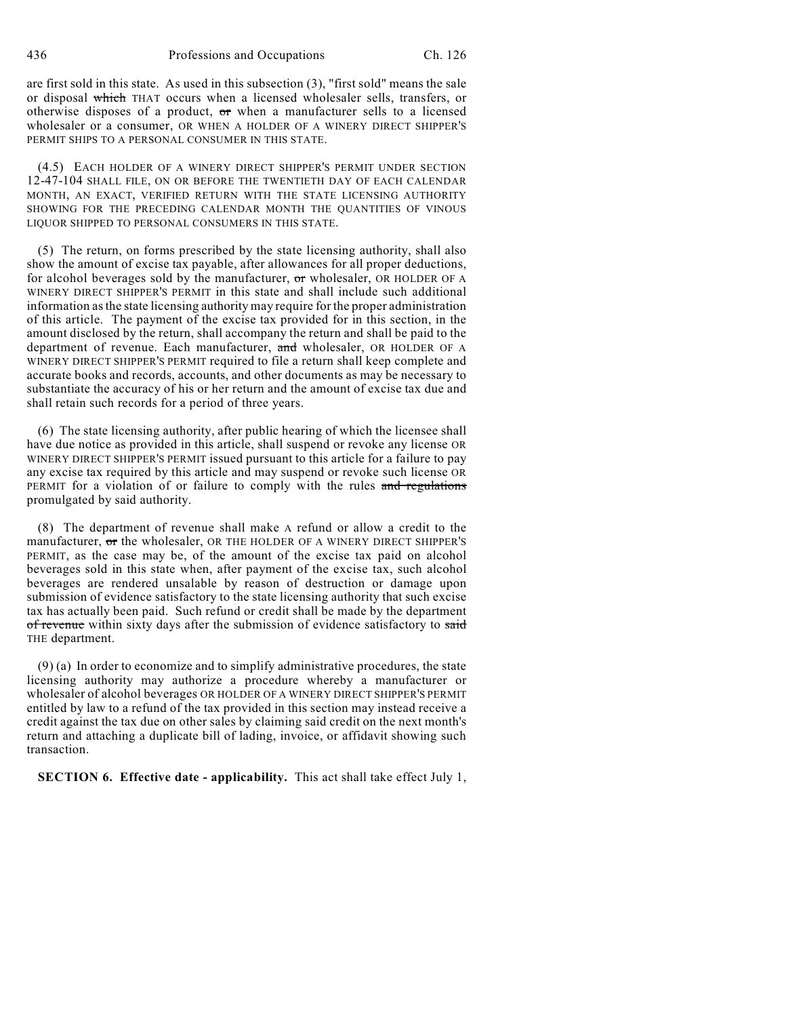are first sold in this state. As used in this subsection (3), "first sold" means the sale or disposal which THAT occurs when a licensed wholesaler sells, transfers, or otherwise disposes of a product, or when a manufacturer sells to a licensed wholesaler or a consumer, OR WHEN A HOLDER OF A WINERY DIRECT SHIPPER'S PERMIT SHIPS TO A PERSONAL CONSUMER IN THIS STATE.

(4.5) EACH HOLDER OF A WINERY DIRECT SHIPPER'S PERMIT UNDER SECTION 12-47-104 SHALL FILE, ON OR BEFORE THE TWENTIETH DAY OF EACH CALENDAR MONTH, AN EXACT, VERIFIED RETURN WITH THE STATE LICENSING AUTHORITY SHOWING FOR THE PRECEDING CALENDAR MONTH THE QUANTITIES OF VINOUS LIQUOR SHIPPED TO PERSONAL CONSUMERS IN THIS STATE.

(5) The return, on forms prescribed by the state licensing authority, shall also show the amount of excise tax payable, after allowances for all proper deductions, for alcohol beverages sold by the manufacturer, or wholesaler, OR HOLDER OF A WINERY DIRECT SHIPPER'S PERMIT in this state and shall include such additional information as the state licensing authority may require for the proper administration of this article. The payment of the excise tax provided for in this section, in the amount disclosed by the return, shall accompany the return and shall be paid to the department of revenue. Each manufacturer, and wholesaler, OR HOLDER OF A WINERY DIRECT SHIPPER'S PERMIT required to file a return shall keep complete and accurate books and records, accounts, and other documents as may be necessary to substantiate the accuracy of his or her return and the amount of excise tax due and shall retain such records for a period of three years.

(6) The state licensing authority, after public hearing of which the licensee shall have due notice as provided in this article, shall suspend or revoke any license OR WINERY DIRECT SHIPPER'S PERMIT issued pursuant to this article for a failure to pay any excise tax required by this article and may suspend or revoke such license OR PERMIT for a violation of or failure to comply with the rules and regulations promulgated by said authority.

(8) The department of revenue shall make A refund or allow a credit to the manufacturer, or the wholesaler, OR THE HOLDER OF A WINERY DIRECT SHIPPER'S PERMIT, as the case may be, of the amount of the excise tax paid on alcohol beverages sold in this state when, after payment of the excise tax, such alcohol beverages are rendered unsalable by reason of destruction or damage upon submission of evidence satisfactory to the state licensing authority that such excise tax has actually been paid. Such refund or credit shall be made by the department of revenue within sixty days after the submission of evidence satisfactory to said THE department.

(9) (a) In order to economize and to simplify administrative procedures, the state licensing authority may authorize a procedure whereby a manufacturer or wholesaler of alcohol beverages OR HOLDER OF A WINERY DIRECT SHIPPER'S PERMIT entitled by law to a refund of the tax provided in this section may instead receive a credit against the tax due on other sales by claiming said credit on the next month's return and attaching a duplicate bill of lading, invoice, or affidavit showing such transaction.

**SECTION 6. Effective date - applicability.** This act shall take effect July 1,